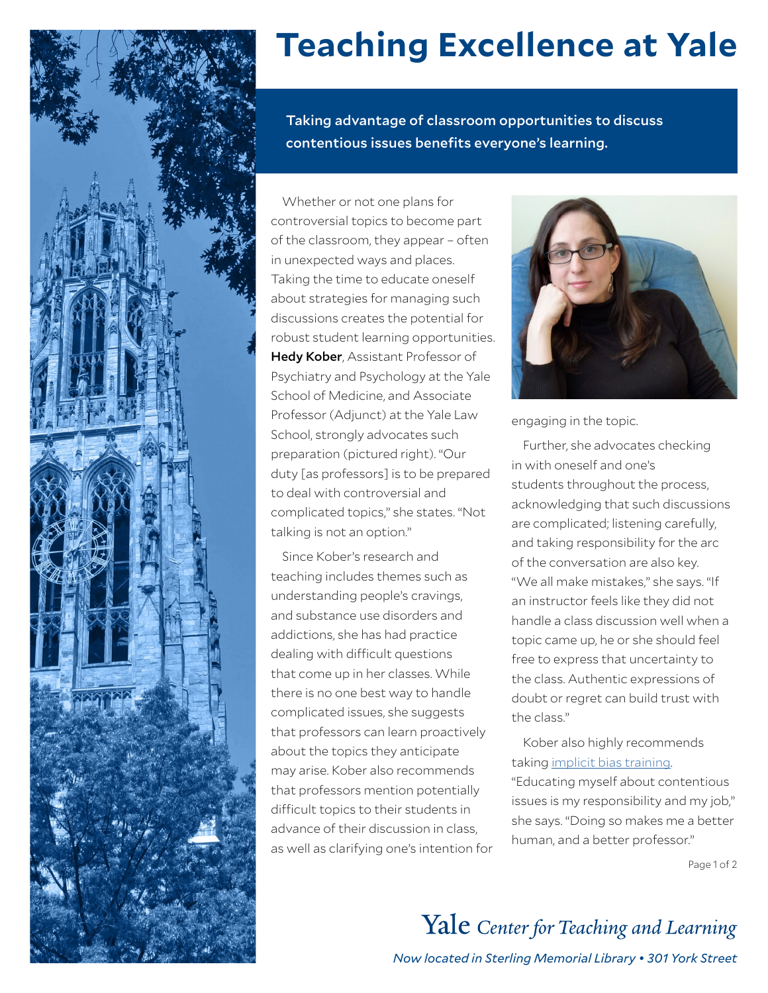

## **Teaching Excellence at Yale**

Taking advantage of classroom opportunities to discuss contentious issues benefits everyone's learning.

Whether or not one plans for controversial topics to become part of the classroom, they appear – often in unexpected ways and places. Taking the time to educate oneself about strategies for managing such discussions creates the potential for robust student learning opportunities. Hedy Kober, Assistant Professor of Psychiatry and Psychology at the Yale School of Medicine, and Associate Professor (Adjunct) at the Yale Law School, strongly advocates such preparation (pictured right). "Our duty [as professors] is to be prepared to deal with controversial and complicated topics," she states. "Not talking is not an option."

Since Kober's research and teaching includes themes such as understanding people's cravings, and substance use disorders and addictions, she has had practice dealing with difficult questions that come up in her classes. While there is no one best way to handle complicated issues, she suggests that professors can learn proactively about the topics they anticipate may arise. Kober also recommends that professors mention potentially difficult topics to their students in advance of their discussion in class, as well as clarifying one's intention for



engaging in the topic.

Further, she advocates checking in with oneself and one's students throughout the process, acknowledging that such discussions are complicated; listening carefully, and taking responsibility for the arc of the conversation are also key. "We all make mistakes," she says. "If an instructor feels like they did not handle a class discussion well when a topic came up, he or she should feel free to express that uncertainty to the class. Authentic expressions of doubt or regret can build trust with the class."

Kober also highly recommends taking [implicit bias training.](https://implicit.harvard.edu/implicit/takeatest.html) "Educating myself about contentious issues is my responsibility and my job," she says. "Doing so makes me a better human, and a better professor."

Page 1 of 2

Yale Center for Teaching and Learning *Now located in Sterling Memorial Library • 301 York Street*